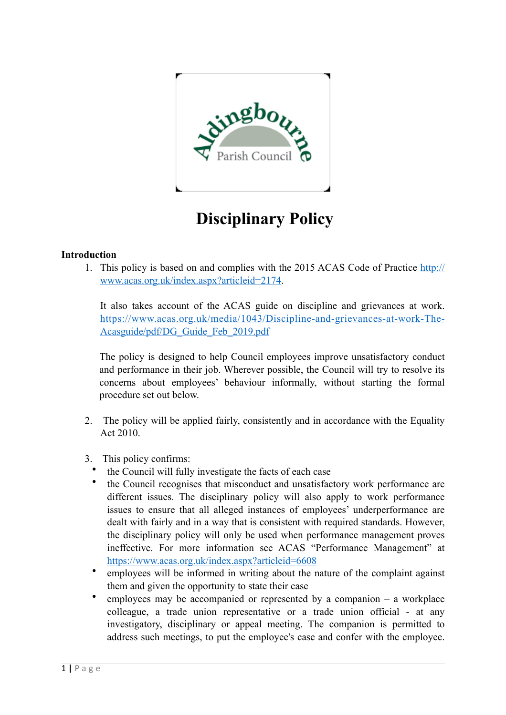

# **Disciplinary Policy**

## **Introduction**

1. This policy is based on and complies with the 2015 ACAS Code of Practice [http://](http://www.acas.org.uk/index.aspx?articleid=2174) [www.acas.org.uk/index.aspx?articleid=2174.](http://www.acas.org.uk/index.aspx?articleid=2174)

It also takes account of the ACAS guide on discipline and grievances at work. [https://www.acas.org.uk/media/1043/Discipline-and-grievances-at-work-The-](https://www.acas.org.uk/media/1043/Discipline-and-grievances-at-work-The-Acasguide/pdf/DG_Guide_Feb_2019.pdf)[Acasguide/pdf/DG\\_Guide\\_Feb\\_2019.pdf](https://www.acas.org.uk/media/1043/Discipline-and-grievances-at-work-The-Acasguide/pdf/DG_Guide_Feb_2019.pdf)

The policy is designed to help Council employees improve unsatisfactory conduct and performance in their job. Wherever possible, the Council will try to resolve its concerns about employees' behaviour informally, without starting the formal procedure set out below.

- 2. The policy will be applied fairly, consistently and in accordance with the Equality Act 2010.
- 3. This policy confirms:
	- the Council will fully investigate the facts of each case
	- the Council recognises that misconduct and unsatisfactory work performance are different issues. The disciplinary policy will also apply to work performance issues to ensure that all alleged instances of employees' underperformance are dealt with fairly and in a way that is consistent with required standards. However, the disciplinary policy will only be used when performance management proves ineffective. For more information see ACAS "Performance Management" at <https://www.acas.org.uk/index.aspx?articleid=6608>
	- employees will be informed in writing about the nature of the complaint against them and given the opportunity to state their case
	- employees may be accompanied or represented by a companion  $-$  a workplace colleague, a trade union representative or a trade union official - at any investigatory, disciplinary or appeal meeting. The companion is permitted to address such meetings, to put the employee's case and confer with the employee.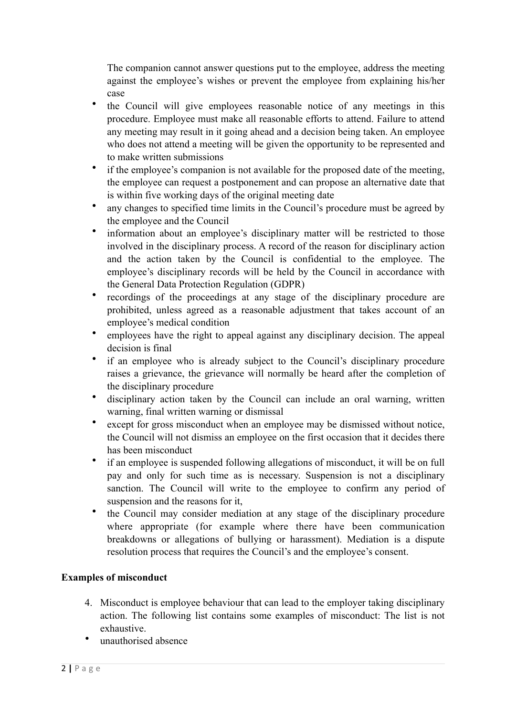The companion cannot answer questions put to the employee, address the meeting against the employee's wishes or prevent the employee from explaining his/her case

- the Council will give employees reasonable notice of any meetings in this procedure. Employee must make all reasonable efforts to attend. Failure to attend any meeting may result in it going ahead and a decision being taken. An employee who does not attend a meeting will be given the opportunity to be represented and to make written submissions
- if the employee's companion is not available for the proposed date of the meeting, the employee can request a postponement and can propose an alternative date that is within five working days of the original meeting date
- any changes to specified time limits in the Council's procedure must be agreed by the employee and the Council
- information about an employee's disciplinary matter will be restricted to those involved in the disciplinary process. A record of the reason for disciplinary action and the action taken by the Council is confidential to the employee. The employee's disciplinary records will be held by the Council in accordance with the General Data Protection Regulation (GDPR)
- recordings of the proceedings at any stage of the disciplinary procedure are prohibited, unless agreed as a reasonable adjustment that takes account of an employee's medical condition
- employees have the right to appeal against any disciplinary decision. The appeal decision is final
- if an employee who is already subject to the Council's disciplinary procedure raises a grievance, the grievance will normally be heard after the completion of the disciplinary procedure
- disciplinary action taken by the Council can include an oral warning, written warning, final written warning or dismissal
- except for gross misconduct when an employee may be dismissed without notice, the Council will not dismiss an employee on the first occasion that it decides there has been misconduct
- if an employee is suspended following allegations of misconduct, it will be on full pay and only for such time as is necessary. Suspension is not a disciplinary sanction. The Council will write to the employee to confirm any period of suspension and the reasons for it,
- the Council may consider mediation at any stage of the disciplinary procedure where appropriate (for example where there have been communication breakdowns or allegations of bullying or harassment). Mediation is a dispute resolution process that requires the Council's and the employee's consent.

# **Examples of misconduct**

- 4. Misconduct is employee behaviour that can lead to the employer taking disciplinary action. The following list contains some examples of misconduct: The list is not exhaustive.
- unauthorised absence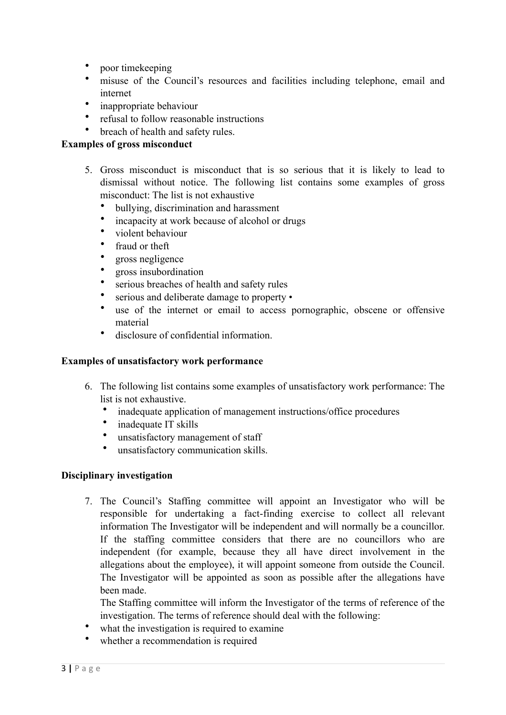- poor timekeeping
- misuse of the Council's resources and facilities including telephone, email and internet
- inappropriate behaviour
- refusal to follow reasonable instructions
- breach of health and safety rules.

#### **Examples of gross misconduct**

- 5. Gross misconduct is misconduct that is so serious that it is likely to lead to dismissal without notice. The following list contains some examples of gross misconduct: The list is not exhaustive
	- bullying, discrimination and harassment
	- incapacity at work because of alcohol or drugs
	- violent behaviour
	- fraud or theft
	- gross negligence
	- gross insubordination
	- serious breaches of health and safety rules
	- serious and deliberate damage to property •
	- use of the internet or email to access pornographic, obscene or offensive material
	- disclosure of confidential information.

#### **Examples of unsatisfactory work performance**

- 6. The following list contains some examples of unsatisfactory work performance: The list is not exhaustive.
	- inadequate application of management instructions/office procedures
	- inadequate IT skills
	- unsatisfactory management of staff
	- unsatisfactory communication skills.

#### **Disciplinary investigation**

7. The Council's Staffing committee will appoint an Investigator who will be responsible for undertaking a fact-finding exercise to collect all relevant information The Investigator will be independent and will normally be a councillor. If the staffing committee considers that there are no councillors who are independent (for example, because they all have direct involvement in the allegations about the employee), it will appoint someone from outside the Council. The Investigator will be appointed as soon as possible after the allegations have been made.

The Staffing committee will inform the Investigator of the terms of reference of the investigation. The terms of reference should deal with the following:

- what the investigation is required to examine
- whether a recommendation is required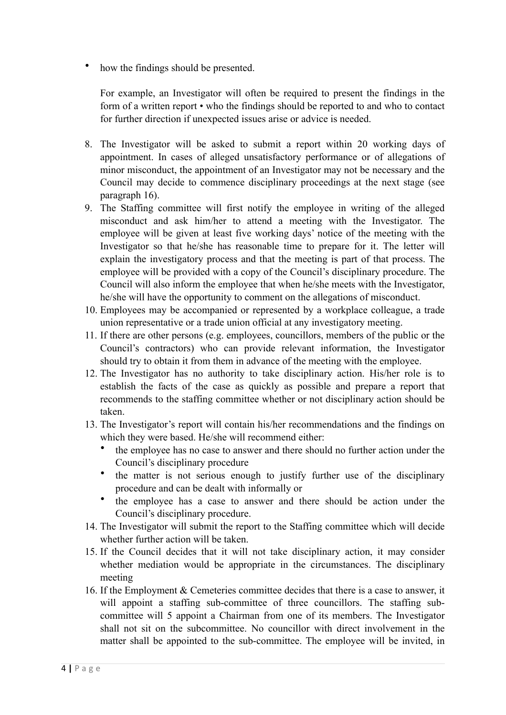how the findings should be presented.

For example, an Investigator will often be required to present the findings in the form of a written report • who the findings should be reported to and who to contact for further direction if unexpected issues arise or advice is needed.

- 8. The Investigator will be asked to submit a report within 20 working days of appointment. In cases of alleged unsatisfactory performance or of allegations of minor misconduct, the appointment of an Investigator may not be necessary and the Council may decide to commence disciplinary proceedings at the next stage (see paragraph 16).
- 9. The Staffing committee will first notify the employee in writing of the alleged misconduct and ask him/her to attend a meeting with the Investigator. The employee will be given at least five working days' notice of the meeting with the Investigator so that he/she has reasonable time to prepare for it. The letter will explain the investigatory process and that the meeting is part of that process. The employee will be provided with a copy of the Council's disciplinary procedure. The Council will also inform the employee that when he/she meets with the Investigator, he/she will have the opportunity to comment on the allegations of misconduct.
- 10. Employees may be accompanied or represented by a workplace colleague, a trade union representative or a trade union official at any investigatory meeting.
- 11. If there are other persons (e.g. employees, councillors, members of the public or the Council's contractors) who can provide relevant information, the Investigator should try to obtain it from them in advance of the meeting with the employee.
- 12. The Investigator has no authority to take disciplinary action. His/her role is to establish the facts of the case as quickly as possible and prepare a report that recommends to the staffing committee whether or not disciplinary action should be taken.
- 13. The Investigator's report will contain his/her recommendations and the findings on which they were based. He/she will recommend either:
	- the employee has no case to answer and there should no further action under the Council's disciplinary procedure
	- the matter is not serious enough to justify further use of the disciplinary procedure and can be dealt with informally or
	- the employee has a case to answer and there should be action under the Council's disciplinary procedure.
- 14. The Investigator will submit the report to the Staffing committee which will decide whether further action will be taken.
- 15. If the Council decides that it will not take disciplinary action, it may consider whether mediation would be appropriate in the circumstances. The disciplinary meeting
- 16. If the Employment & Cemeteries committee decides that there is a case to answer, it will appoint a staffing sub-committee of three councillors. The staffing subcommittee will 5 appoint a Chairman from one of its members. The Investigator shall not sit on the subcommittee. No councillor with direct involvement in the matter shall be appointed to the sub-committee. The employee will be invited, in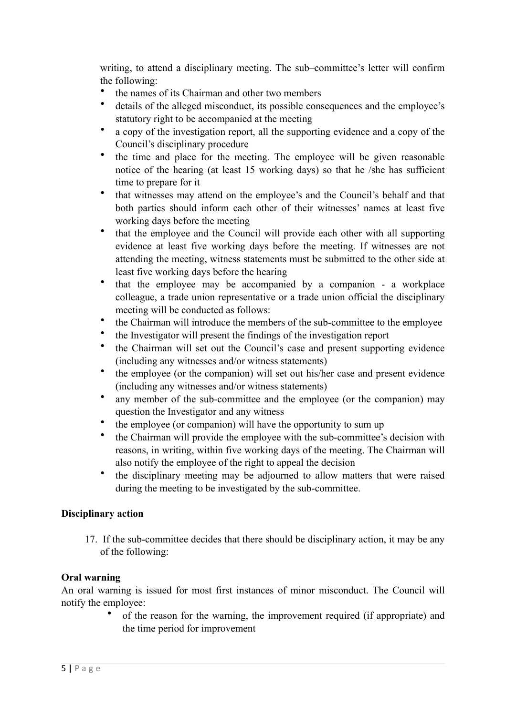writing, to attend a disciplinary meeting. The sub–committee's letter will confirm the following:

- the names of its Chairman and other two members
- details of the alleged misconduct, its possible consequences and the employee's statutory right to be accompanied at the meeting
- a copy of the investigation report, all the supporting evidence and a copy of the Council's disciplinary procedure
- the time and place for the meeting. The employee will be given reasonable notice of the hearing (at least 15 working days) so that he /she has sufficient time to prepare for it
- that witnesses may attend on the employee's and the Council's behalf and that both parties should inform each other of their witnesses' names at least five working days before the meeting
- that the employee and the Council will provide each other with all supporting evidence at least five working days before the meeting. If witnesses are not attending the meeting, witness statements must be submitted to the other side at least five working days before the hearing
- that the employee may be accompanied by a companion a workplace colleague, a trade union representative or a trade union official the disciplinary meeting will be conducted as follows:
- the Chairman will introduce the members of the sub-committee to the employee
- the Investigator will present the findings of the investigation report
- the Chairman will set out the Council's case and present supporting evidence (including any witnesses and/or witness statements)
- the employee (or the companion) will set out his/her case and present evidence (including any witnesses and/or witness statements)
- any member of the sub-committee and the employee (or the companion) may question the Investigator and any witness
- the employee (or companion) will have the opportunity to sum up
- the Chairman will provide the employee with the sub-committee's decision with reasons, in writing, within five working days of the meeting. The Chairman will also notify the employee of the right to appeal the decision
- the disciplinary meeting may be adjourned to allow matters that were raised during the meeting to be investigated by the sub-committee.

#### **Disciplinary action**

17. If the sub-committee decides that there should be disciplinary action, it may be any of the following:

# **Oral warning**

An oral warning is issued for most first instances of minor misconduct. The Council will notify the employee:

> • of the reason for the warning, the improvement required (if appropriate) and the time period for improvement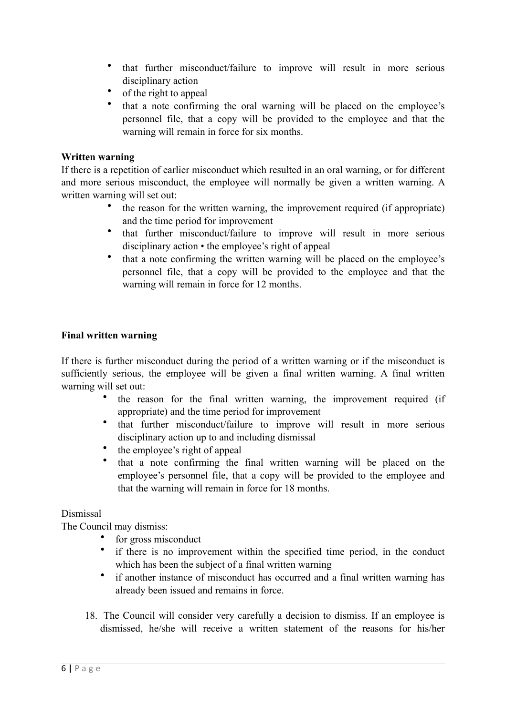- that further misconduct/failure to improve will result in more serious disciplinary action
- of the right to appeal
- that a note confirming the oral warning will be placed on the employee's personnel file, that a copy will be provided to the employee and that the warning will remain in force for six months.

## **Written warning**

If there is a repetition of earlier misconduct which resulted in an oral warning, or for different and more serious misconduct, the employee will normally be given a written warning. A written warning will set out:

- the reason for the written warning, the improvement required (if appropriate) and the time period for improvement
- that further misconduct/failure to improve will result in more serious disciplinary action • the employee's right of appeal
- that a note confirming the written warning will be placed on the employee's personnel file, that a copy will be provided to the employee and that the warning will remain in force for 12 months.

# **Final written warning**

If there is further misconduct during the period of a written warning or if the misconduct is sufficiently serious, the employee will be given a final written warning. A final written warning will set out:

- the reason for the final written warning, the improvement required (if appropriate) and the time period for improvement
- that further misconduct/failure to improve will result in more serious disciplinary action up to and including dismissal
- the employee's right of appeal
- that a note confirming the final written warning will be placed on the employee's personnel file, that a copy will be provided to the employee and that the warning will remain in force for 18 months.

# Dismissal

The Council may dismiss:

- for gross misconduct
- if there is no improvement within the specified time period, in the conduct which has been the subject of a final written warning
- if another instance of misconduct has occurred and a final written warning has already been issued and remains in force.
- 18. The Council will consider very carefully a decision to dismiss. If an employee is dismissed, he/she will receive a written statement of the reasons for his/her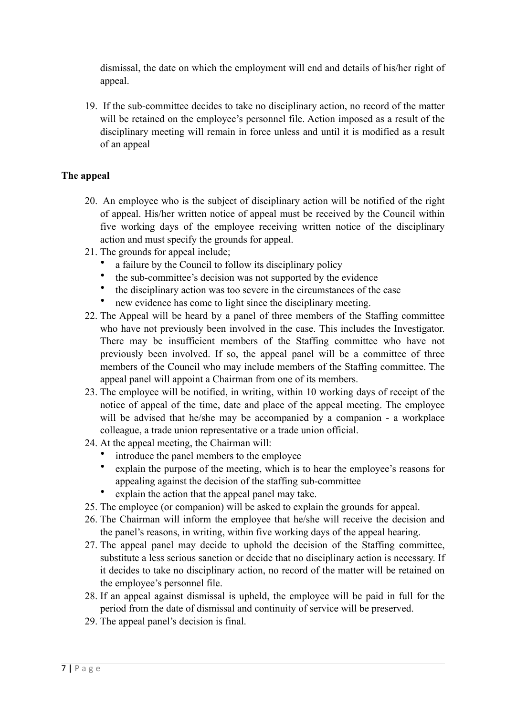dismissal, the date on which the employment will end and details of his/her right of appeal.

19. If the sub-committee decides to take no disciplinary action, no record of the matter will be retained on the employee's personnel file. Action imposed as a result of the disciplinary meeting will remain in force unless and until it is modified as a result of an appeal

## **The appeal**

- 20. An employee who is the subject of disciplinary action will be notified of the right of appeal. His/her written notice of appeal must be received by the Council within five working days of the employee receiving written notice of the disciplinary action and must specify the grounds for appeal.
- 21. The grounds for appeal include;
	- a failure by the Council to follow its disciplinary policy
	- the sub-committee's decision was not supported by the evidence
	- the disciplinary action was too severe in the circumstances of the case
	- new evidence has come to light since the disciplinary meeting.
- 22. The Appeal will be heard by a panel of three members of the Staffing committee who have not previously been involved in the case. This includes the Investigator. There may be insufficient members of the Staffing committee who have not previously been involved. If so, the appeal panel will be a committee of three members of the Council who may include members of the Staffing committee. The appeal panel will appoint a Chairman from one of its members.
- 23. The employee will be notified, in writing, within 10 working days of receipt of the notice of appeal of the time, date and place of the appeal meeting. The employee will be advised that he/she may be accompanied by a companion - a workplace colleague, a trade union representative or a trade union official.
- 24. At the appeal meeting, the Chairman will:
	- introduce the panel members to the employee
	- explain the purpose of the meeting, which is to hear the employee's reasons for appealing against the decision of the staffing sub-committee
	- explain the action that the appeal panel may take.
- 25. The employee (or companion) will be asked to explain the grounds for appeal.
- 26. The Chairman will inform the employee that he/she will receive the decision and the panel's reasons, in writing, within five working days of the appeal hearing.
- 27. The appeal panel may decide to uphold the decision of the Staffing committee, substitute a less serious sanction or decide that no disciplinary action is necessary. If it decides to take no disciplinary action, no record of the matter will be retained on the employee's personnel file.
- 28. If an appeal against dismissal is upheld, the employee will be paid in full for the period from the date of dismissal and continuity of service will be preserved.
- 29. The appeal panel's decision is final.